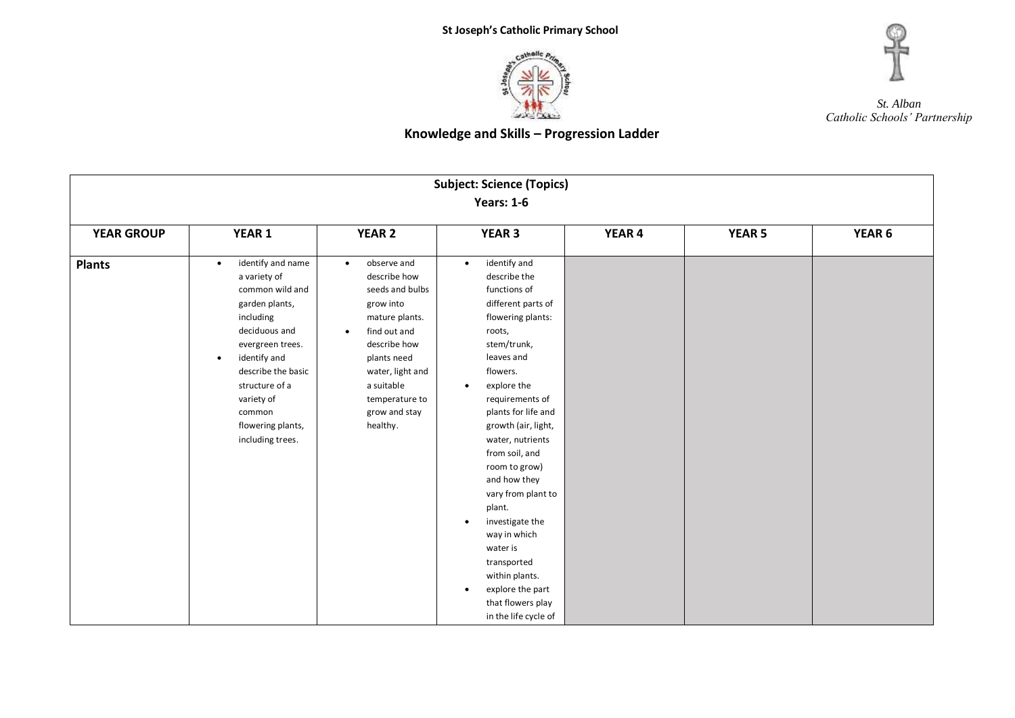



#### **Subject: Science (Topics) Years: 1-6 YEAR GROUP YEAR 1 YEAR 2 YEAR 3 YEAR 4 YEAR 5 YEAR 6 Plants e** identify and name a variety of common wild and garden plants, including deciduous and evergreen trees. identify and describe the basic structure of a variety of common flowering plants, including trees. • observe and describe how seeds and bulbs grow into mature plants. • find out and describe how plants need water, light and a suitable temperature to grow and stay healthy. • identify and describe the functions of different parts of flowering plants: roots, stem/trunk, leaves and flowers. explore the requirements of plants for life and growth (air, light, water, nutrients from soil, and room to grow) and how they vary from plant to plant. **•** investigate the way in which water is transported within plants. • explore the part that flowers play in the life cycle of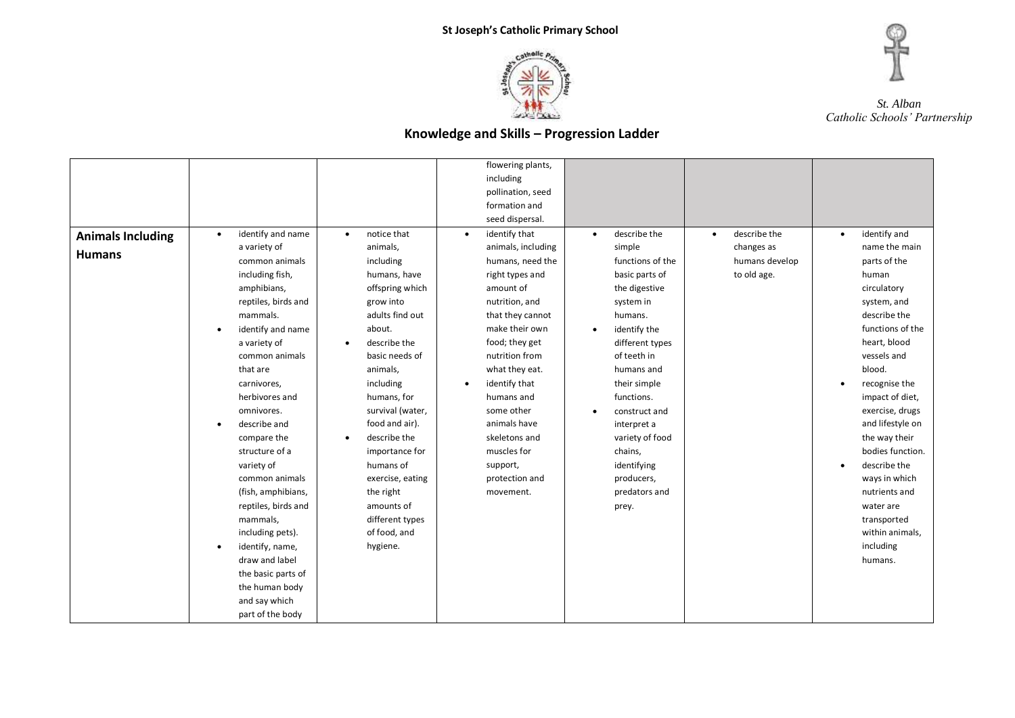



|                          |                                |                           | flowering plants,          |                           |                           |                           |
|--------------------------|--------------------------------|---------------------------|----------------------------|---------------------------|---------------------------|---------------------------|
|                          |                                |                           | including                  |                           |                           |                           |
|                          |                                |                           | pollination, seed          |                           |                           |                           |
|                          |                                |                           | formation and              |                           |                           |                           |
|                          |                                |                           | seed dispersal.            |                           |                           |                           |
| <b>Animals Including</b> | identify and name<br>$\bullet$ | notice that<br>$\bullet$  | identify that<br>$\bullet$ | describe the<br>$\bullet$ | describe the<br>$\bullet$ | identify and<br>$\bullet$ |
|                          | a variety of                   | animals,                  | animals, including         | simple                    | changes as                | name the main             |
| <b>Humans</b>            | common animals                 | including                 | humans, need the           | functions of the          | humans develop            | parts of the              |
|                          | including fish,                | humans, have              | right types and            | basic parts of            | to old age.               | human                     |
|                          | amphibians,                    | offspring which           | amount of                  | the digestive             |                           | circulatory               |
|                          | reptiles, birds and            | grow into                 | nutrition, and             | system in                 |                           | system, and               |
|                          | mammals.                       | adults find out           | that they cannot           | humans.                   |                           | describe the              |
|                          | identify and name<br>$\bullet$ | about.                    | make their own             | identify the<br>$\bullet$ |                           | functions of the          |
|                          | a variety of                   | describe the<br>٠         | food; they get             | different types           |                           | heart, blood              |
|                          | common animals                 | basic needs of            | nutrition from             | of teeth in               |                           | vessels and               |
|                          | that are                       | animals,                  | what they eat.             | humans and                |                           | blood.                    |
|                          | carnivores,                    | including                 | identify that<br>$\bullet$ | their simple              |                           | recognise the             |
|                          | herbivores and                 | humans, for               | humans and                 | functions.                |                           | impact of diet,           |
|                          | omnivores.                     | survival (water,          | some other                 | construct and             |                           | exercise, drugs           |
|                          | describe and<br>$\bullet$      | food and air).            | animals have               | interpret a               |                           | and lifestyle on          |
|                          | compare the                    | describe the<br>$\bullet$ | skeletons and              | variety of food           |                           | the way their             |
|                          | structure of a                 | importance for            | muscles for                | chains,                   |                           | bodies function.          |
|                          | variety of                     | humans of                 | support,                   | identifying               |                           | describe the<br>$\bullet$ |
|                          | common animals                 | exercise, eating          | protection and             | producers,                |                           | ways in which             |
|                          | (fish, amphibians,             | the right                 | movement.                  | predators and             |                           | nutrients and             |
|                          | reptiles, birds and            | amounts of                |                            |                           |                           | water are                 |
|                          |                                |                           |                            | prey.                     |                           |                           |
|                          | mammals,                       | different types           |                            |                           |                           | transported               |
|                          | including pets).               | of food, and              |                            |                           |                           | within animals,           |
|                          | identify, name,                | hygiene.                  |                            |                           |                           | including                 |
|                          | draw and label                 |                           |                            |                           |                           | humans.                   |
|                          | the basic parts of             |                           |                            |                           |                           |                           |
|                          | the human body                 |                           |                            |                           |                           |                           |
|                          | and say which                  |                           |                            |                           |                           |                           |
|                          | part of the body               |                           |                            |                           |                           |                           |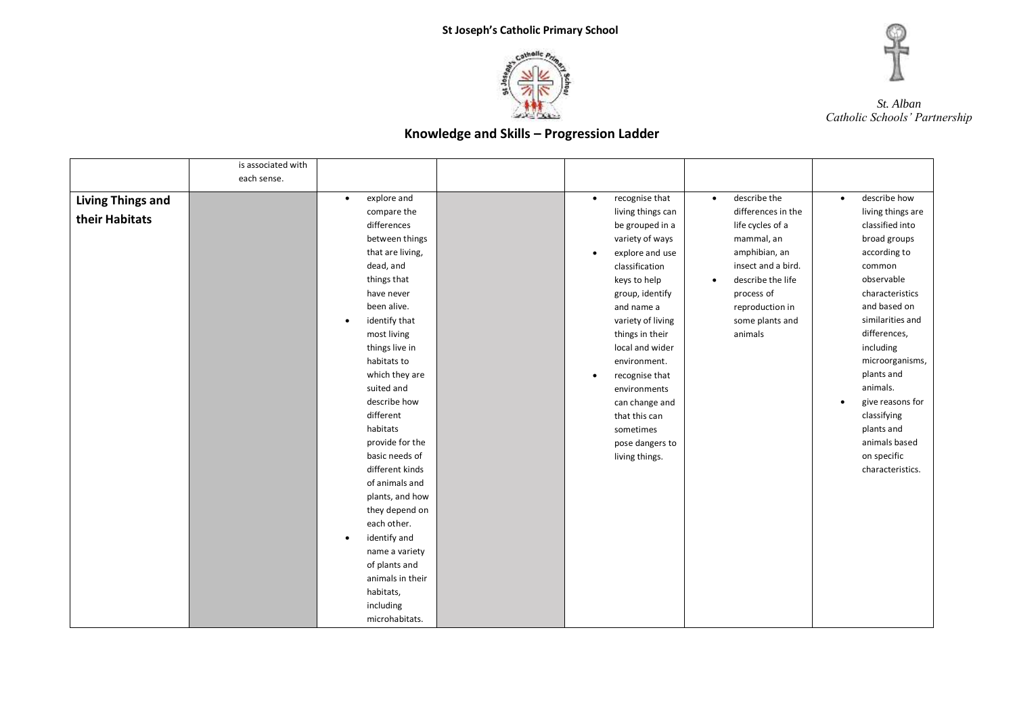



| each sense.<br>describe the<br>describe how<br>explore and<br>recognise that<br><b>Living Things and</b><br>$\bullet$<br>$\bullet$<br>$\bullet$<br>$\bullet$<br>living things can<br>differences in the<br>living things are<br>compare the<br>their Habitats<br>classified into<br>differences<br>be grouped in a<br>life cycles of a<br>between things<br>variety of ways<br>broad groups<br>mammal, an<br>amphibian, an<br>that are living,<br>according to<br>explore and use<br>$\bullet$<br>dead, and<br>insect and a bird.<br>classification<br>common<br>observable<br>things that<br>describe the life<br>keys to help<br>$\bullet$<br>have never<br>characteristics<br>group, identify<br>process of<br>been alive.<br>and based on<br>and name a<br>reproduction in<br>similarities and<br>identify that<br>variety of living<br>some plants and<br>differences,<br>things in their<br>most living<br>animals<br>things live in<br>local and wider<br>including<br>habitats to<br>environment.<br>plants and<br>which they are<br>recognise that<br>$\bullet$<br>animals.<br>suited and<br>environments<br>describe how<br>can change and | is associated with |           |               |                  |
|------------------------------------------------------------------------------------------------------------------------------------------------------------------------------------------------------------------------------------------------------------------------------------------------------------------------------------------------------------------------------------------------------------------------------------------------------------------------------------------------------------------------------------------------------------------------------------------------------------------------------------------------------------------------------------------------------------------------------------------------------------------------------------------------------------------------------------------------------------------------------------------------------------------------------------------------------------------------------------------------------------------------------------------------------------------------------------------------------------------------------------------------------|--------------------|-----------|---------------|------------------|
|                                                                                                                                                                                                                                                                                                                                                                                                                                                                                                                                                                                                                                                                                                                                                                                                                                                                                                                                                                                                                                                                                                                                                      |                    |           |               |                  |
|                                                                                                                                                                                                                                                                                                                                                                                                                                                                                                                                                                                                                                                                                                                                                                                                                                                                                                                                                                                                                                                                                                                                                      |                    |           |               |                  |
|                                                                                                                                                                                                                                                                                                                                                                                                                                                                                                                                                                                                                                                                                                                                                                                                                                                                                                                                                                                                                                                                                                                                                      |                    |           |               |                  |
|                                                                                                                                                                                                                                                                                                                                                                                                                                                                                                                                                                                                                                                                                                                                                                                                                                                                                                                                                                                                                                                                                                                                                      |                    |           |               |                  |
|                                                                                                                                                                                                                                                                                                                                                                                                                                                                                                                                                                                                                                                                                                                                                                                                                                                                                                                                                                                                                                                                                                                                                      |                    |           |               |                  |
|                                                                                                                                                                                                                                                                                                                                                                                                                                                                                                                                                                                                                                                                                                                                                                                                                                                                                                                                                                                                                                                                                                                                                      |                    |           |               |                  |
|                                                                                                                                                                                                                                                                                                                                                                                                                                                                                                                                                                                                                                                                                                                                                                                                                                                                                                                                                                                                                                                                                                                                                      |                    |           |               |                  |
|                                                                                                                                                                                                                                                                                                                                                                                                                                                                                                                                                                                                                                                                                                                                                                                                                                                                                                                                                                                                                                                                                                                                                      |                    |           |               |                  |
|                                                                                                                                                                                                                                                                                                                                                                                                                                                                                                                                                                                                                                                                                                                                                                                                                                                                                                                                                                                                                                                                                                                                                      |                    |           |               |                  |
|                                                                                                                                                                                                                                                                                                                                                                                                                                                                                                                                                                                                                                                                                                                                                                                                                                                                                                                                                                                                                                                                                                                                                      |                    |           |               |                  |
|                                                                                                                                                                                                                                                                                                                                                                                                                                                                                                                                                                                                                                                                                                                                                                                                                                                                                                                                                                                                                                                                                                                                                      |                    |           |               |                  |
|                                                                                                                                                                                                                                                                                                                                                                                                                                                                                                                                                                                                                                                                                                                                                                                                                                                                                                                                                                                                                                                                                                                                                      |                    |           |               |                  |
|                                                                                                                                                                                                                                                                                                                                                                                                                                                                                                                                                                                                                                                                                                                                                                                                                                                                                                                                                                                                                                                                                                                                                      |                    |           |               |                  |
|                                                                                                                                                                                                                                                                                                                                                                                                                                                                                                                                                                                                                                                                                                                                                                                                                                                                                                                                                                                                                                                                                                                                                      |                    |           |               |                  |
|                                                                                                                                                                                                                                                                                                                                                                                                                                                                                                                                                                                                                                                                                                                                                                                                                                                                                                                                                                                                                                                                                                                                                      |                    |           |               | microorganisms,  |
|                                                                                                                                                                                                                                                                                                                                                                                                                                                                                                                                                                                                                                                                                                                                                                                                                                                                                                                                                                                                                                                                                                                                                      |                    |           |               |                  |
|                                                                                                                                                                                                                                                                                                                                                                                                                                                                                                                                                                                                                                                                                                                                                                                                                                                                                                                                                                                                                                                                                                                                                      |                    |           |               |                  |
|                                                                                                                                                                                                                                                                                                                                                                                                                                                                                                                                                                                                                                                                                                                                                                                                                                                                                                                                                                                                                                                                                                                                                      |                    |           |               | give reasons for |
|                                                                                                                                                                                                                                                                                                                                                                                                                                                                                                                                                                                                                                                                                                                                                                                                                                                                                                                                                                                                                                                                                                                                                      |                    | different | that this can | classifying      |
| habitats<br>plants and<br>sometimes                                                                                                                                                                                                                                                                                                                                                                                                                                                                                                                                                                                                                                                                                                                                                                                                                                                                                                                                                                                                                                                                                                                  |                    |           |               |                  |
| provide for the<br>pose dangers to                                                                                                                                                                                                                                                                                                                                                                                                                                                                                                                                                                                                                                                                                                                                                                                                                                                                                                                                                                                                                                                                                                                   |                    |           |               | animals based    |
| on specific<br>basic needs of<br>living things.                                                                                                                                                                                                                                                                                                                                                                                                                                                                                                                                                                                                                                                                                                                                                                                                                                                                                                                                                                                                                                                                                                      |                    |           |               |                  |
| different kinds                                                                                                                                                                                                                                                                                                                                                                                                                                                                                                                                                                                                                                                                                                                                                                                                                                                                                                                                                                                                                                                                                                                                      |                    |           |               | characteristics. |
| of animals and                                                                                                                                                                                                                                                                                                                                                                                                                                                                                                                                                                                                                                                                                                                                                                                                                                                                                                                                                                                                                                                                                                                                       |                    |           |               |                  |
| plants, and how                                                                                                                                                                                                                                                                                                                                                                                                                                                                                                                                                                                                                                                                                                                                                                                                                                                                                                                                                                                                                                                                                                                                      |                    |           |               |                  |
| they depend on                                                                                                                                                                                                                                                                                                                                                                                                                                                                                                                                                                                                                                                                                                                                                                                                                                                                                                                                                                                                                                                                                                                                       |                    |           |               |                  |
| each other.                                                                                                                                                                                                                                                                                                                                                                                                                                                                                                                                                                                                                                                                                                                                                                                                                                                                                                                                                                                                                                                                                                                                          |                    |           |               |                  |
| identify and<br>$\bullet$                                                                                                                                                                                                                                                                                                                                                                                                                                                                                                                                                                                                                                                                                                                                                                                                                                                                                                                                                                                                                                                                                                                            |                    |           |               |                  |
| name a variety                                                                                                                                                                                                                                                                                                                                                                                                                                                                                                                                                                                                                                                                                                                                                                                                                                                                                                                                                                                                                                                                                                                                       |                    |           |               |                  |
| of plants and                                                                                                                                                                                                                                                                                                                                                                                                                                                                                                                                                                                                                                                                                                                                                                                                                                                                                                                                                                                                                                                                                                                                        |                    |           |               |                  |
| animals in their                                                                                                                                                                                                                                                                                                                                                                                                                                                                                                                                                                                                                                                                                                                                                                                                                                                                                                                                                                                                                                                                                                                                     |                    |           |               |                  |
| habitats,                                                                                                                                                                                                                                                                                                                                                                                                                                                                                                                                                                                                                                                                                                                                                                                                                                                                                                                                                                                                                                                                                                                                            |                    |           |               |                  |
| including                                                                                                                                                                                                                                                                                                                                                                                                                                                                                                                                                                                                                                                                                                                                                                                                                                                                                                                                                                                                                                                                                                                                            |                    |           |               |                  |
| microhabitats.                                                                                                                                                                                                                                                                                                                                                                                                                                                                                                                                                                                                                                                                                                                                                                                                                                                                                                                                                                                                                                                                                                                                       |                    |           |               |                  |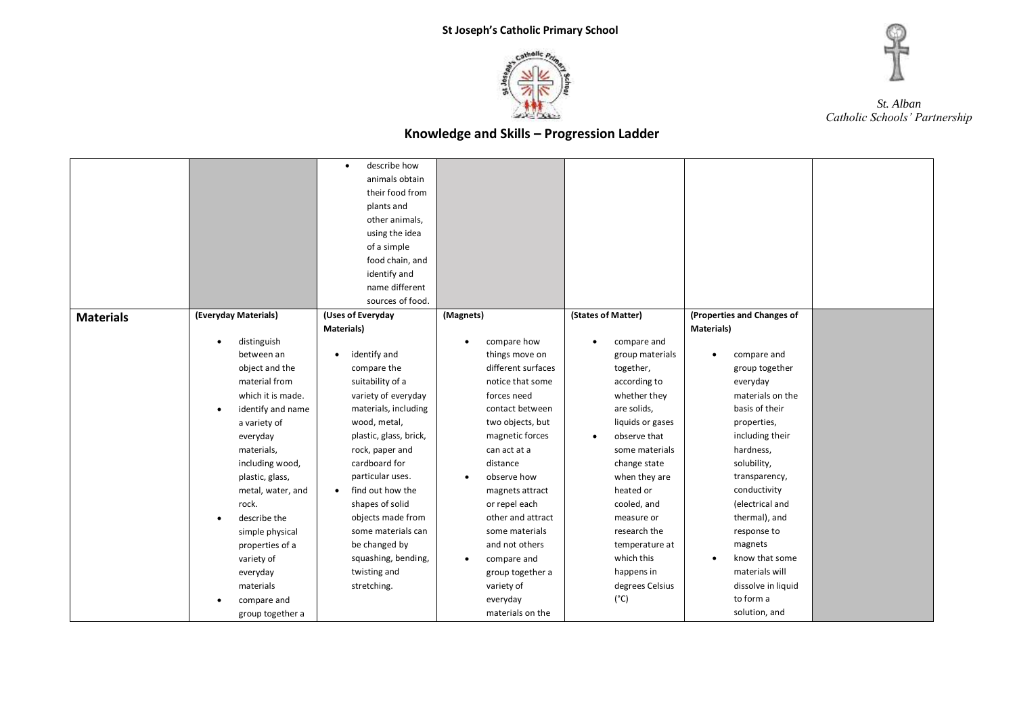



|                  |                                | describe how<br>$\bullet$     |                          |                          |                             |  |
|------------------|--------------------------------|-------------------------------|--------------------------|--------------------------|-----------------------------|--|
|                  |                                |                               |                          |                          |                             |  |
|                  |                                | animals obtain                |                          |                          |                             |  |
|                  |                                | their food from               |                          |                          |                             |  |
|                  |                                | plants and                    |                          |                          |                             |  |
|                  |                                | other animals,                |                          |                          |                             |  |
|                  |                                | using the idea                |                          |                          |                             |  |
|                  |                                | of a simple                   |                          |                          |                             |  |
|                  |                                | food chain, and               |                          |                          |                             |  |
|                  |                                | identify and                  |                          |                          |                             |  |
|                  |                                | name different                |                          |                          |                             |  |
|                  |                                | sources of food.              |                          |                          |                             |  |
| <b>Materials</b> | (Everyday Materials)           | (Uses of Everyday             | (Magnets)                | (States of Matter)       | (Properties and Changes of  |  |
|                  |                                | <b>Materials</b> )            |                          |                          | Materials)                  |  |
|                  | distinguish<br>$\bullet$       |                               | compare how<br>$\bullet$ | compare and<br>$\bullet$ |                             |  |
|                  | between an                     | identify and<br>$\bullet$     | things move on           | group materials          | compare and                 |  |
|                  | object and the                 | compare the                   | different surfaces       | together,                | group together              |  |
|                  | material from                  | suitability of a              | notice that some         | according to             | everyday                    |  |
|                  | which it is made.              | variety of everyday           | forces need              | whether they             | materials on the            |  |
|                  | identify and name<br>$\bullet$ | materials, including          | contact between          | are solids,              | basis of their              |  |
|                  | a variety of                   | wood, metal,                  | two objects, but         | liquids or gases         | properties,                 |  |
|                  | everyday                       | plastic, glass, brick,        | magnetic forces          | observe that<br>٠        | including their             |  |
|                  | materials,                     | rock, paper and               | can act at a             | some materials           | hardness,                   |  |
|                  | including wood,                | cardboard for                 | distance                 | change state             | solubility,                 |  |
|                  | plastic, glass,                | particular uses.              | observe how<br>$\bullet$ | when they are            | transparency,               |  |
|                  | metal, water, and              | find out how the<br>$\bullet$ | magnets attract          | heated or                | conductivity                |  |
|                  | rock.                          | shapes of solid               | or repel each            | cooled, and              | (electrical and             |  |
|                  | describe the                   | objects made from             | other and attract        | measure or               | thermal), and               |  |
|                  |                                | some materials can            | some materials           | research the             | response to                 |  |
|                  | simple physical                |                               |                          |                          |                             |  |
|                  | properties of a                | be changed by                 | and not others           | temperature at           | magnets                     |  |
|                  | variety of                     | squashing, bending,           | compare and<br>$\bullet$ | which this               | know that some<br>$\bullet$ |  |
|                  | everyday                       | twisting and                  | group together a         | happens in               | materials will              |  |
|                  | materials                      | stretching.                   | variety of               | degrees Celsius          | dissolve in liquid          |  |
|                  | compare and                    |                               | everyday                 | $(^{\circ}C)$            | to form a                   |  |
|                  | group together a               |                               | materials on the         |                          | solution, and               |  |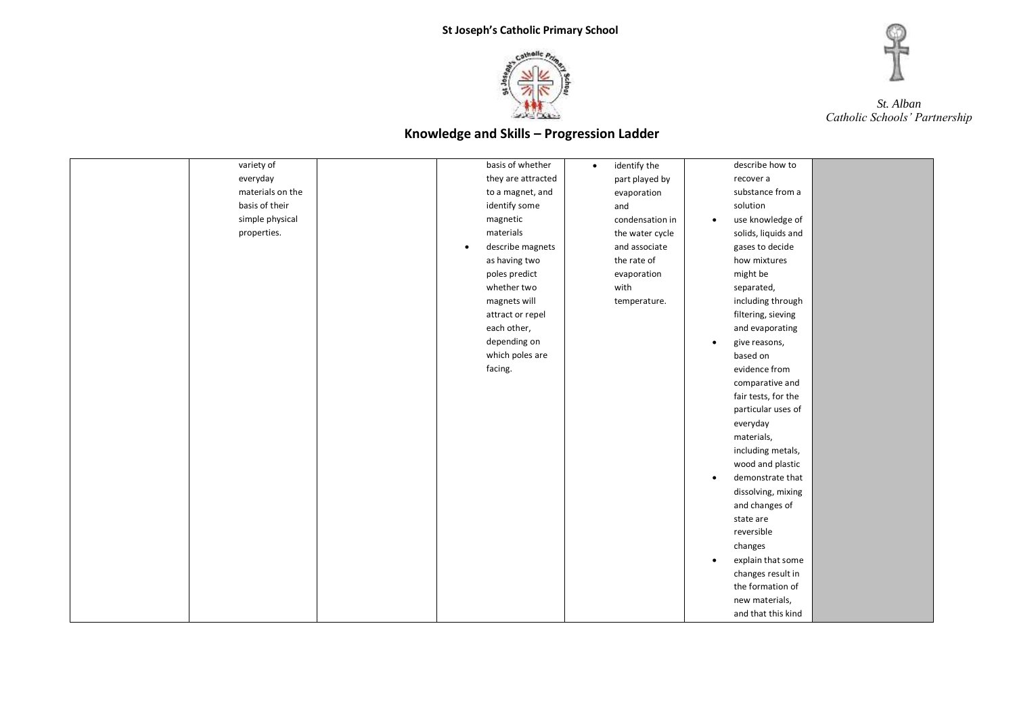



| variety of       | basis of whether              | identify the<br>$\bullet$ | describe how to               |  |
|------------------|-------------------------------|---------------------------|-------------------------------|--|
| everyday         | they are attracted            | part played by            | recover a                     |  |
| materials on the | to a magnet, and              | evaporation               | substance from a              |  |
| basis of their   | identify some                 | and                       | solution                      |  |
| simple physical  | magnetic                      | condensation in           | use knowledge of<br>$\bullet$ |  |
| properties.      | materials                     | the water cycle           | solids, liquids and           |  |
|                  | describe magnets<br>$\bullet$ | and associate             | gases to decide               |  |
|                  | as having two                 | the rate of               | how mixtures                  |  |
|                  | poles predict                 | evaporation               | might be                      |  |
|                  | whether two                   | with                      | separated,                    |  |
|                  | magnets will                  | temperature.              | including through             |  |
|                  | attract or repel              |                           | filtering, sieving            |  |
|                  | each other,                   |                           | and evaporating               |  |
|                  | depending on                  |                           | give reasons,                 |  |
|                  | which poles are               |                           | based on                      |  |
|                  | facing.                       |                           | evidence from                 |  |
|                  |                               |                           | comparative and               |  |
|                  |                               |                           | fair tests, for the           |  |
|                  |                               |                           | particular uses of            |  |
|                  |                               |                           | everyday                      |  |
|                  |                               |                           | materials,                    |  |
|                  |                               |                           | including metals,             |  |
|                  |                               |                           | wood and plastic              |  |
|                  |                               |                           | demonstrate that<br>$\bullet$ |  |
|                  |                               |                           | dissolving, mixing            |  |
|                  |                               |                           | and changes of                |  |
|                  |                               |                           | state are                     |  |
|                  |                               |                           | reversible                    |  |
|                  |                               |                           | changes                       |  |
|                  |                               |                           | explain that some             |  |
|                  |                               |                           | changes result in             |  |
|                  |                               |                           | the formation of              |  |
|                  |                               |                           | new materials,                |  |
|                  |                               |                           | and that this kind            |  |
|                  |                               |                           |                               |  |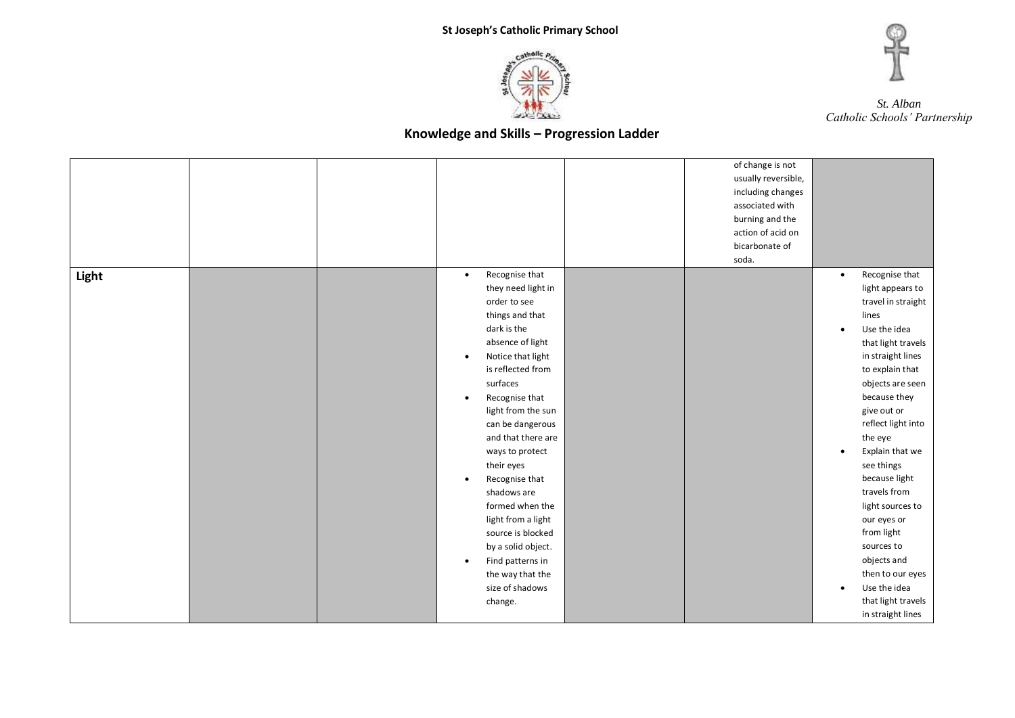



|       |  |                                                                                                                                                                                                                                                                                                                                                                                                                                                                                                                                         | of change is not<br>usually reversible,<br>including changes<br>associated with<br>burning and the<br>action of acid on<br>bicarbonate of<br>soda. |                                                  |                                                                                                                                                                                                                                                                                                                                                                                                                                                                    |
|-------|--|-----------------------------------------------------------------------------------------------------------------------------------------------------------------------------------------------------------------------------------------------------------------------------------------------------------------------------------------------------------------------------------------------------------------------------------------------------------------------------------------------------------------------------------------|----------------------------------------------------------------------------------------------------------------------------------------------------|--------------------------------------------------|--------------------------------------------------------------------------------------------------------------------------------------------------------------------------------------------------------------------------------------------------------------------------------------------------------------------------------------------------------------------------------------------------------------------------------------------------------------------|
| Light |  | Recognise that<br>$\bullet$<br>they need light in<br>order to see<br>things and that<br>dark is the<br>absence of light<br>Notice that light<br>٠<br>is reflected from<br>surfaces<br>Recognise that<br>$\bullet$<br>light from the sun<br>can be dangerous<br>and that there are<br>ways to protect<br>their eyes<br>Recognise that<br>$\bullet$<br>shadows are<br>formed when the<br>light from a light<br>source is blocked<br>by a solid object.<br>Find patterns in<br>$\bullet$<br>the way that the<br>size of shadows<br>change. |                                                                                                                                                    | $\bullet$<br>$\bullet$<br>$\bullet$<br>$\bullet$ | Recognise that<br>light appears to<br>travel in straight<br>lines<br>Use the idea<br>that light travels<br>in straight lines<br>to explain that<br>objects are seen<br>because they<br>give out or<br>reflect light into<br>the eye<br>Explain that we<br>see things<br>because light<br>travels from<br>light sources to<br>our eyes or<br>from light<br>sources to<br>objects and<br>then to our eyes<br>Use the idea<br>that light travels<br>in straight lines |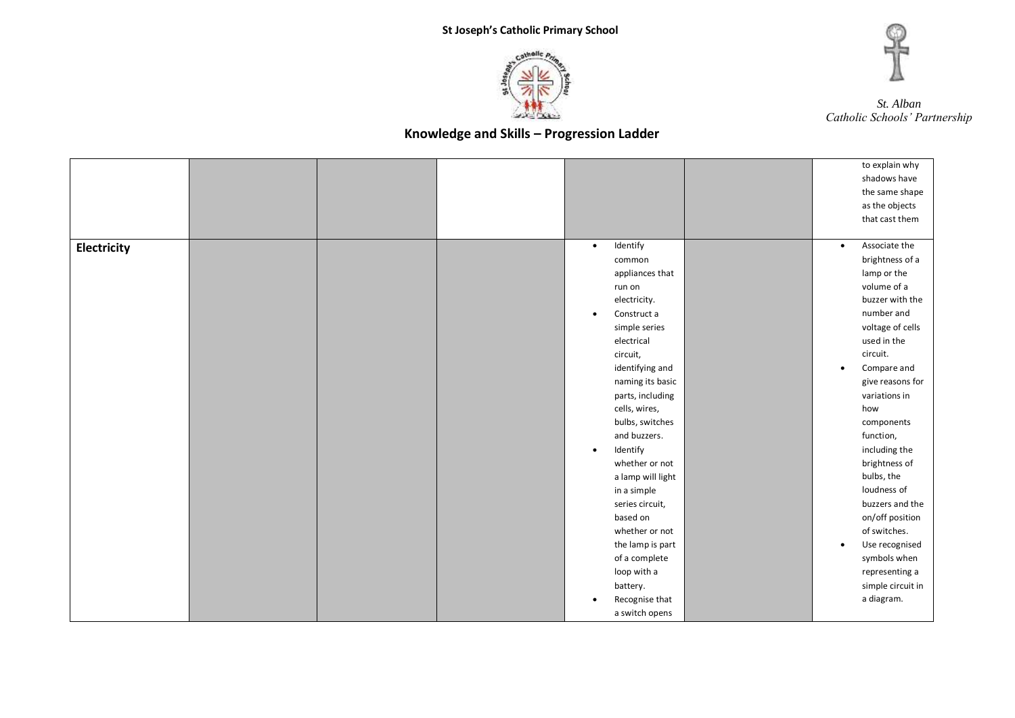



|             |  |                          |           | to explain why    |
|-------------|--|--------------------------|-----------|-------------------|
|             |  |                          |           | shadows have      |
|             |  |                          |           | the same shape    |
|             |  |                          |           | as the objects    |
|             |  |                          |           | that cast them    |
|             |  |                          |           |                   |
| Electricity |  | Identify<br>$\bullet$    | $\bullet$ | Associate the     |
|             |  | common                   |           | brightness of a   |
|             |  | appliances that          |           | lamp or the       |
|             |  | run on                   |           | volume of a       |
|             |  | electricity.             |           | buzzer with the   |
|             |  | Construct a<br>$\bullet$ |           | number and        |
|             |  | simple series            |           | voltage of cells  |
|             |  | electrical               |           | used in the       |
|             |  | circuit,                 |           | circuit.          |
|             |  | identifying and          | $\bullet$ | Compare and       |
|             |  | naming its basic         |           | give reasons for  |
|             |  | parts, including         |           | variations in     |
|             |  | cells, wires,            |           | how               |
|             |  | bulbs, switches          |           | components        |
|             |  | and buzzers.             |           | function,         |
|             |  | Identify<br>$\bullet$    |           | including the     |
|             |  | whether or not           |           | brightness of     |
|             |  | a lamp will light        |           | bulbs, the        |
|             |  | in a simple              |           | loudness of       |
|             |  | series circuit,          |           | buzzers and the   |
|             |  | based on                 |           | on/off position   |
|             |  | whether or not           |           | of switches.      |
|             |  | the lamp is part         | $\bullet$ | Use recognised    |
|             |  | of a complete            |           | symbols when      |
|             |  | loop with a              |           | representing a    |
|             |  | battery.                 |           | simple circuit in |
|             |  | Recognise that           |           | a diagram.        |
|             |  | a switch opens           |           |                   |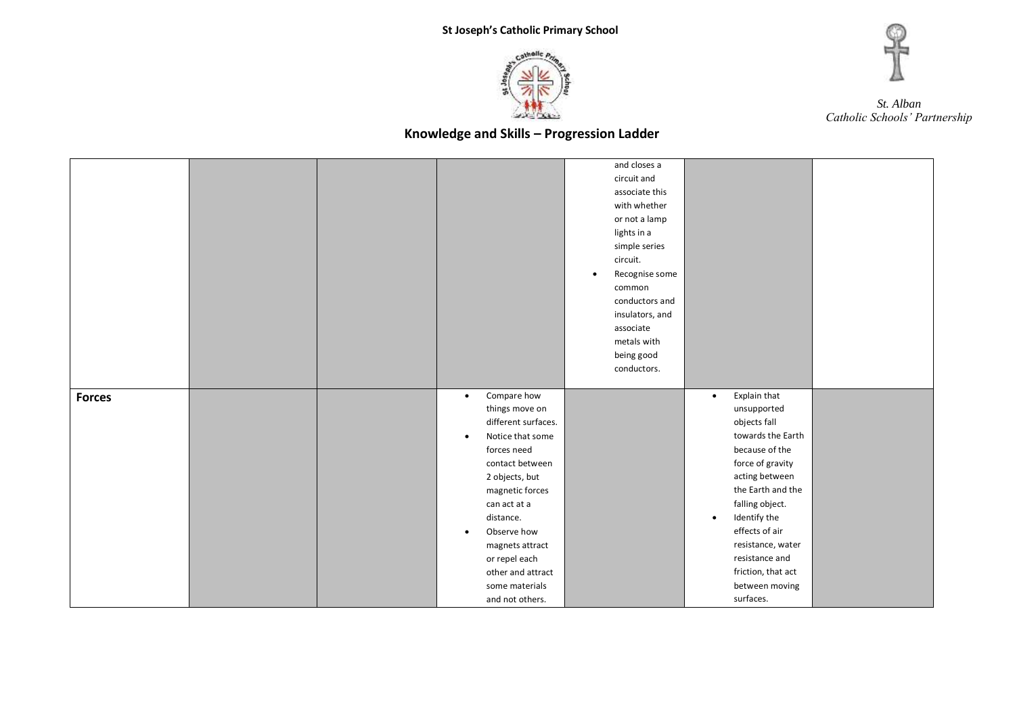



|               |  |                                                                                                                                                                                                                                                                                                                                  | and closes a<br>circuit and<br>associate this<br>with whether<br>or not a lamp<br>lights in a<br>simple series                                  |                                                                                                                                                                                                                                                                                                                          |  |
|---------------|--|----------------------------------------------------------------------------------------------------------------------------------------------------------------------------------------------------------------------------------------------------------------------------------------------------------------------------------|-------------------------------------------------------------------------------------------------------------------------------------------------|--------------------------------------------------------------------------------------------------------------------------------------------------------------------------------------------------------------------------------------------------------------------------------------------------------------------------|--|
|               |  |                                                                                                                                                                                                                                                                                                                                  | circuit.<br>Recognise some<br>$\bullet$<br>common<br>conductors and<br>insulators, and<br>associate<br>metals with<br>being good<br>conductors. |                                                                                                                                                                                                                                                                                                                          |  |
| <b>Forces</b> |  | Compare how<br>$\bullet$<br>things move on<br>different surfaces.<br>Notice that some<br>$\bullet$<br>forces need<br>contact between<br>2 objects, but<br>magnetic forces<br>can act at a<br>distance.<br>Observe how<br>$\bullet$<br>magnets attract<br>or repel each<br>other and attract<br>some materials<br>and not others. |                                                                                                                                                 | Explain that<br>$\bullet$<br>unsupported<br>objects fall<br>towards the Earth<br>because of the<br>force of gravity<br>acting between<br>the Earth and the<br>falling object.<br>Identify the<br>$\bullet$<br>effects of air<br>resistance, water<br>resistance and<br>friction, that act<br>between moving<br>surfaces. |  |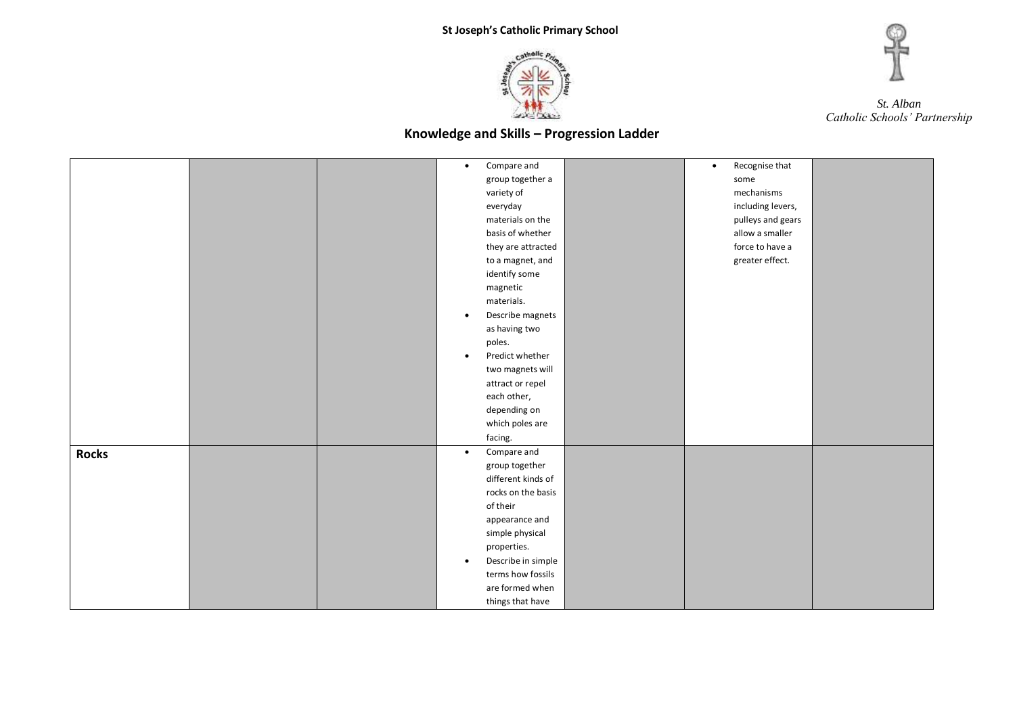



|              |  | Compare and<br>$\bullet$        | Recognise that<br>$\bullet$ |  |
|--------------|--|---------------------------------|-----------------------------|--|
|              |  | group together a                | some                        |  |
|              |  | variety of                      | mechanisms                  |  |
|              |  | everyday                        | including levers,           |  |
|              |  | materials on the                | pulleys and gears           |  |
|              |  | basis of whether                | allow a smaller             |  |
|              |  | they are attracted              | force to have a             |  |
|              |  | to a magnet, and                | greater effect.             |  |
|              |  | identify some                   |                             |  |
|              |  | magnetic                        |                             |  |
|              |  | materials.                      |                             |  |
|              |  | Describe magnets<br>$\bullet$   |                             |  |
|              |  | as having two                   |                             |  |
|              |  | poles.                          |                             |  |
|              |  | Predict whether<br>$\bullet$    |                             |  |
|              |  | two magnets will                |                             |  |
|              |  | attract or repel                |                             |  |
|              |  | each other,                     |                             |  |
|              |  | depending on                    |                             |  |
|              |  | which poles are                 |                             |  |
|              |  | facing.                         |                             |  |
| <b>Rocks</b> |  | Compare and<br>$\bullet$        |                             |  |
|              |  | group together                  |                             |  |
|              |  | different kinds of              |                             |  |
|              |  | rocks on the basis              |                             |  |
|              |  | of their                        |                             |  |
|              |  | appearance and                  |                             |  |
|              |  | simple physical                 |                             |  |
|              |  | properties.                     |                             |  |
|              |  | Describe in simple<br>$\bullet$ |                             |  |
|              |  | terms how fossils               |                             |  |
|              |  | are formed when                 |                             |  |
|              |  | things that have                |                             |  |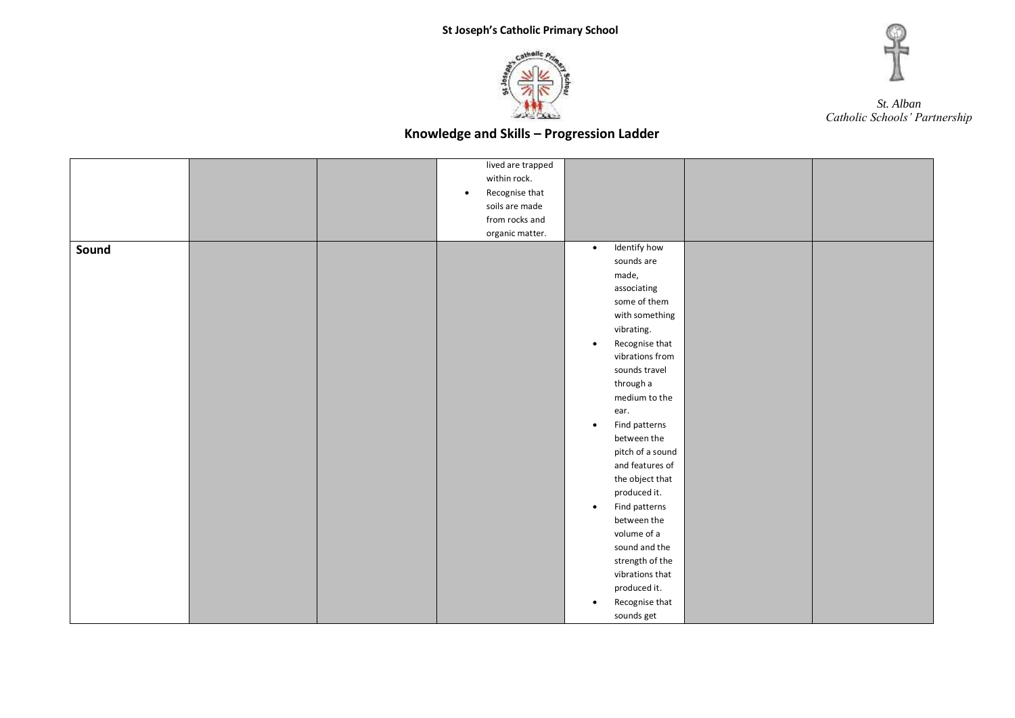



|       |  | lived are trapped           |                             |  |
|-------|--|-----------------------------|-----------------------------|--|
|       |  |                             |                             |  |
|       |  | within rock.                |                             |  |
|       |  | Recognise that<br>$\bullet$ |                             |  |
|       |  | soils are made              |                             |  |
|       |  | from rocks and              |                             |  |
|       |  | organic matter.             |                             |  |
| Sound |  |                             | Identify how<br>$\bullet$   |  |
|       |  |                             | sounds are                  |  |
|       |  |                             | made,                       |  |
|       |  |                             | associating                 |  |
|       |  |                             | some of them                |  |
|       |  |                             | with something              |  |
|       |  |                             | vibrating.                  |  |
|       |  |                             | Recognise that<br>$\bullet$ |  |
|       |  |                             | vibrations from             |  |
|       |  |                             | sounds travel               |  |
|       |  |                             | through a                   |  |
|       |  |                             | medium to the               |  |
|       |  |                             | ear.                        |  |
|       |  |                             | Find patterns<br>$\bullet$  |  |
|       |  |                             | between the                 |  |
|       |  |                             | pitch of a sound            |  |
|       |  |                             | and features of             |  |
|       |  |                             | the object that             |  |
|       |  |                             | produced it.                |  |
|       |  |                             | Find patterns<br>$\bullet$  |  |
|       |  |                             | between the                 |  |
|       |  |                             | volume of a                 |  |
|       |  |                             | sound and the               |  |
|       |  |                             |                             |  |
|       |  |                             | strength of the             |  |
|       |  |                             | vibrations that             |  |
|       |  |                             | produced it.                |  |
|       |  |                             | Recognise that<br>$\bullet$ |  |
|       |  |                             | sounds get                  |  |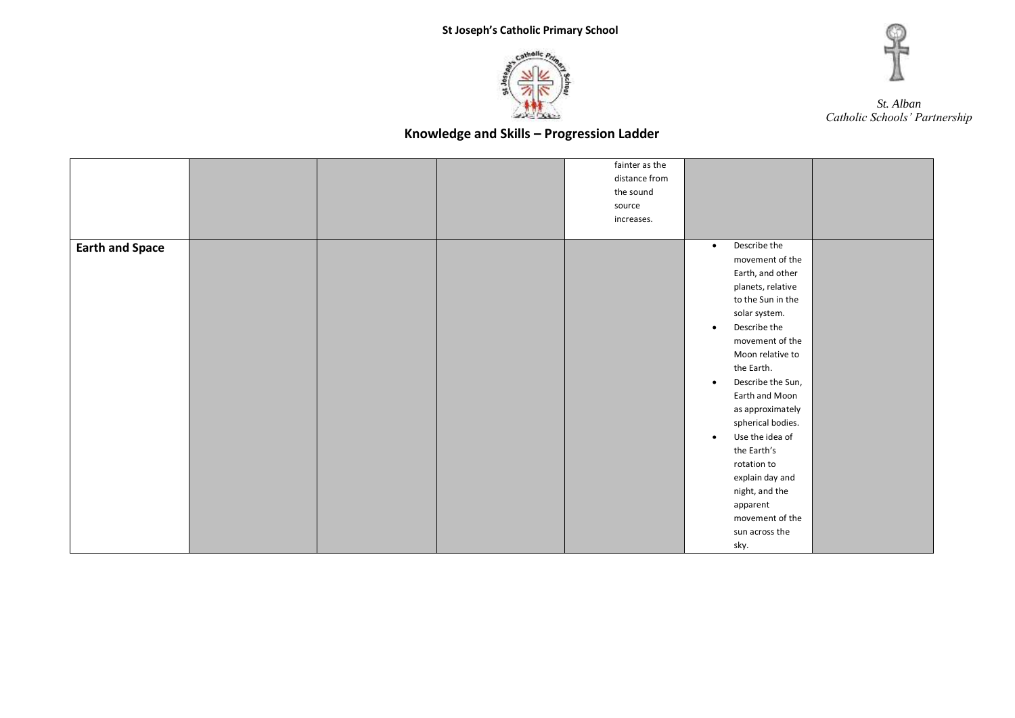



|                        |  | fainter as the |                                |  |
|------------------------|--|----------------|--------------------------------|--|
|                        |  | distance from  |                                |  |
|                        |  | the sound      |                                |  |
|                        |  | source         |                                |  |
|                        |  | increases.     |                                |  |
|                        |  |                |                                |  |
| <b>Earth and Space</b> |  |                | Describe the<br>$\bullet$      |  |
|                        |  |                | movement of the                |  |
|                        |  |                | Earth, and other               |  |
|                        |  |                | planets, relative              |  |
|                        |  |                | to the Sun in the              |  |
|                        |  |                | solar system.                  |  |
|                        |  |                | Describe the<br>$\bullet$      |  |
|                        |  |                | movement of the                |  |
|                        |  |                | Moon relative to               |  |
|                        |  |                | the Earth.                     |  |
|                        |  |                | Describe the Sun,<br>$\bullet$ |  |
|                        |  |                | Earth and Moon                 |  |
|                        |  |                | as approximately               |  |
|                        |  |                | spherical bodies.              |  |
|                        |  |                | Use the idea of<br>$\bullet$   |  |
|                        |  |                | the Earth's                    |  |
|                        |  |                | rotation to                    |  |
|                        |  |                | explain day and                |  |
|                        |  |                | night, and the                 |  |
|                        |  |                | apparent                       |  |
|                        |  |                | movement of the                |  |
|                        |  |                | sun across the                 |  |
|                        |  |                | sky.                           |  |
|                        |  |                |                                |  |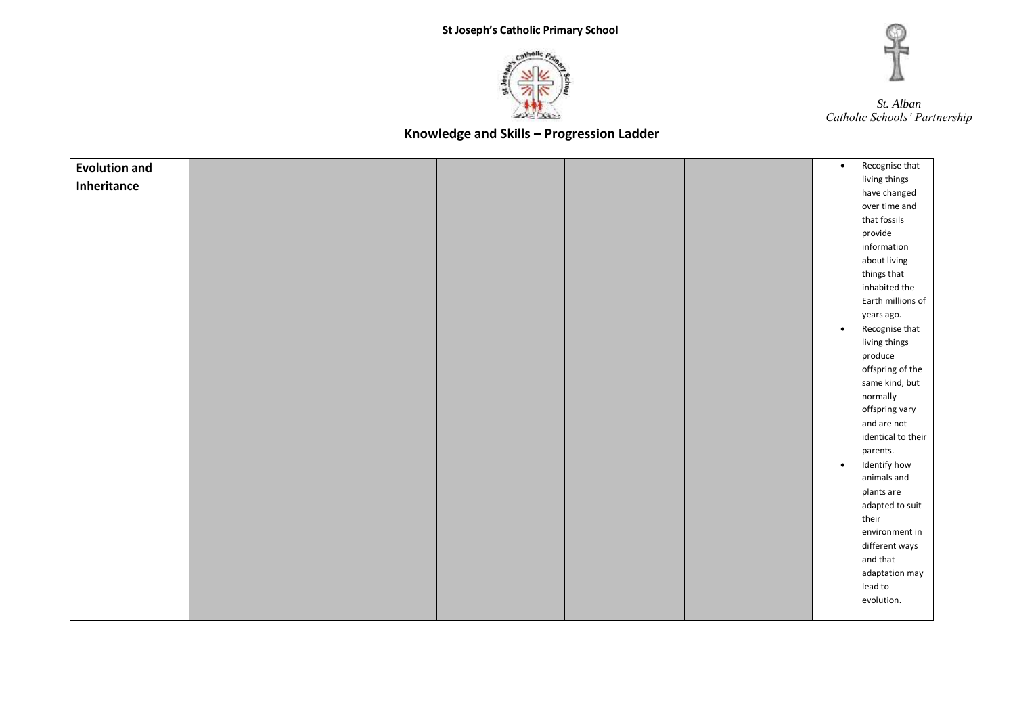



| <b>Evolution and</b> |  |  | $\bullet$ | Recognise that     |
|----------------------|--|--|-----------|--------------------|
| Inheritance          |  |  |           | living things      |
|                      |  |  |           | have changed       |
|                      |  |  |           | over time and      |
|                      |  |  |           | that fossils       |
|                      |  |  |           | provide            |
|                      |  |  |           | information        |
|                      |  |  |           | about living       |
|                      |  |  |           | things that        |
|                      |  |  |           | inhabited the      |
|                      |  |  |           | Earth millions of  |
|                      |  |  |           | years ago.         |
|                      |  |  | $\bullet$ | Recognise that     |
|                      |  |  |           | living things      |
|                      |  |  |           | produce            |
|                      |  |  |           | offspring of the   |
|                      |  |  |           | same kind, but     |
|                      |  |  |           | normally           |
|                      |  |  |           | offspring vary     |
|                      |  |  |           | and are not        |
|                      |  |  |           | identical to their |
|                      |  |  |           | parents.           |
|                      |  |  | $\bullet$ | Identify how       |
|                      |  |  |           | animals and        |
|                      |  |  |           | plants are         |
|                      |  |  |           | adapted to suit    |
|                      |  |  |           | their              |
|                      |  |  |           | environment in     |
|                      |  |  |           | different ways     |
|                      |  |  |           | and that           |
|                      |  |  |           | adaptation may     |
|                      |  |  |           | lead to            |
|                      |  |  |           | evolution.         |
|                      |  |  |           |                    |